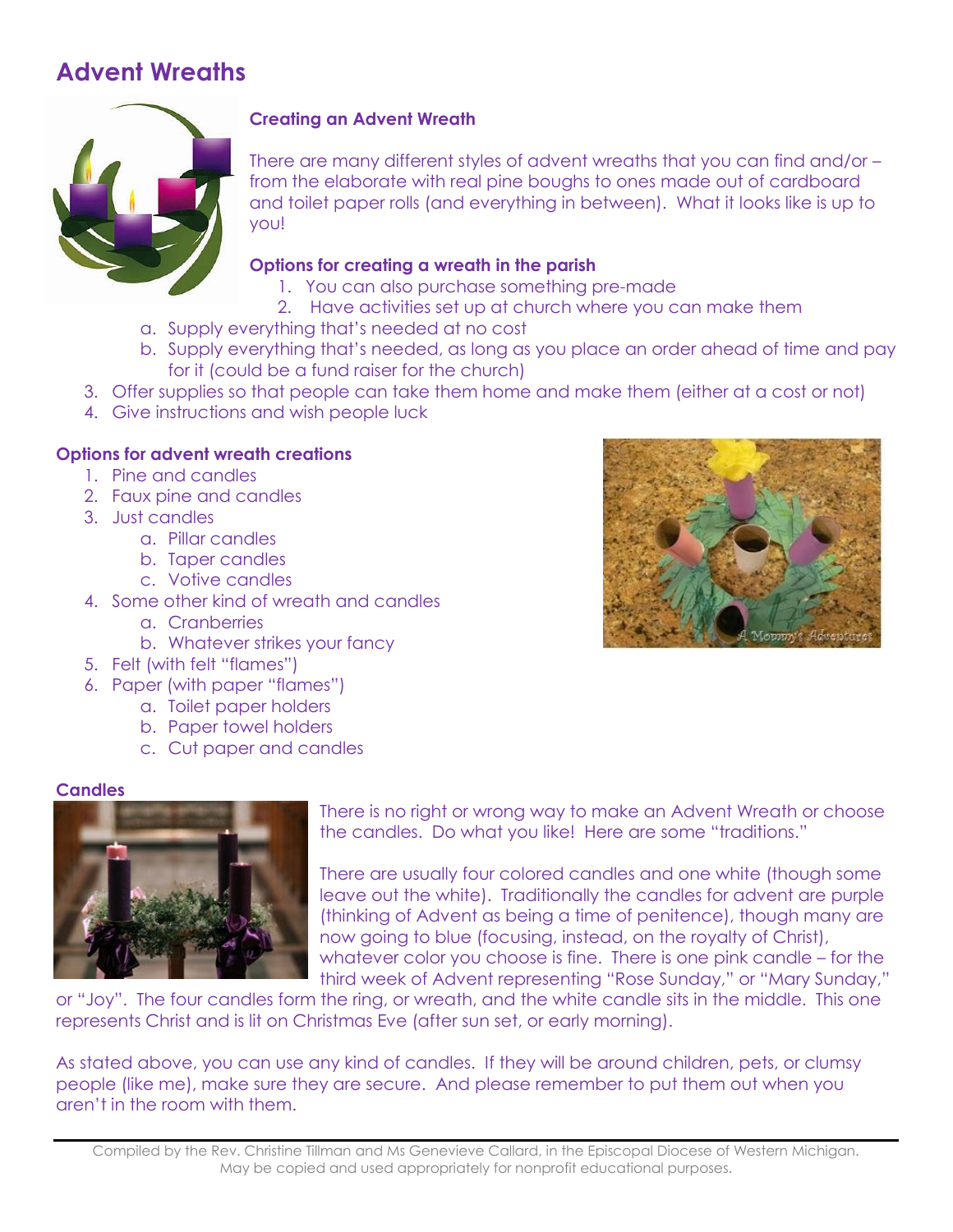# **Advent Wreaths**



## **Creating an Advent Wreath**

There are many different styles of advent wreaths that you can find and/or – from the elaborate with real pine boughs to ones made out of cardboard and toilet paper rolls (and everything in between). What it looks like is up to you!

## **Options for creating a wreath in the parish**

- 1. You can also purchase something pre-made
- 2. Have activities set up at church where you can make them
- a. Supply everything that's needed at no cost
- b. Supply everything that's needed, as long as you place an order ahead of time and pay for it (could be a fund raiser for the church)
- 3. Offer supplies so that people can take them home and make them (either at a cost or not)
- 4. Give instructions and wish people luck

## **Options for advent wreath creations**

- 1. Pine and candles
- 2. Faux pine and candles
- 3. Just candles
	- a. Pillar candles
	- b. Taper candles
	- c. Votive candles
- 4. Some other kind of wreath and candles
	- a. Cranberries
	- b. Whatever strikes your fancy
- 5. Felt (with felt "flames")
- 6. Paper (with paper "flames")
	- a. Toilet paper holders
		- b. Paper towel holders
		- c. Cut paper and candles

## **Candles**



There is no right or wrong way to make an Advent Wreath or choose the candles. Do what you like! Here are some "traditions."

There are usually four colored candles and one white (though some leave out the white). Traditionally the candles for advent are purple (thinking of Advent as being a time of penitence), though many are now going to blue (focusing, instead, on the royalty of Christ), whatever color you choose is fine. There is one pink candle – for the third week of Advent representing "Rose Sunday," or "Mary Sunday,"

or "Joy". The four candles form the ring, or wreath, and the white candle sits in the middle. This one represents Christ and is lit on Christmas Eve (after sun set, or early morning).

As stated above, you can use any kind of candles. If they will be around children, pets, or clumsy people (like me), make sure they are secure. And please remember to put them out when you aren't in the room with them.

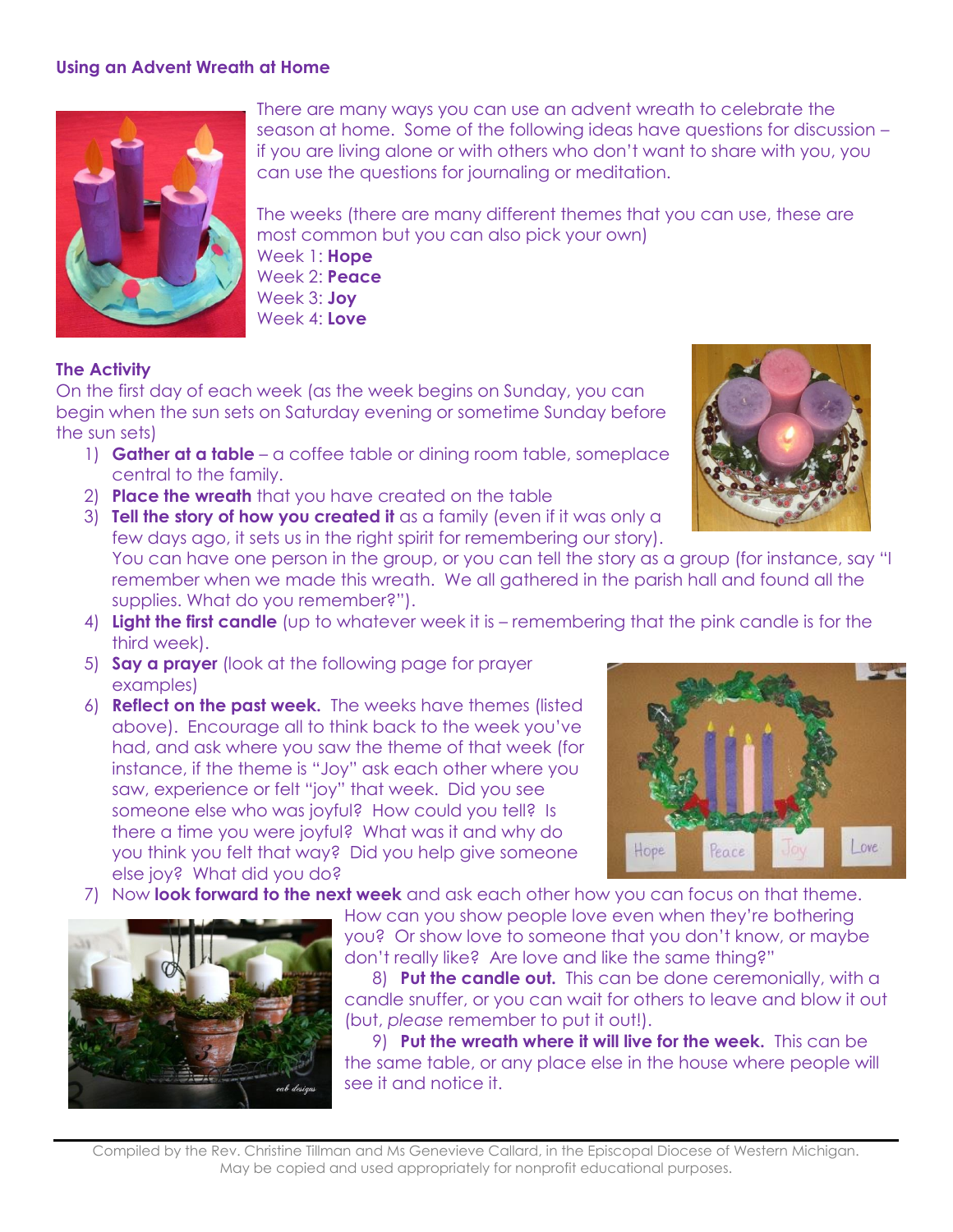#### **Using an Advent Wreath at Home**



There are many ways you can use an advent wreath to celebrate the season at home. Some of the following ideas have questions for discussion – if you are living alone or with others who don't want to share with you, you can use the questions for journaling or meditation.

The weeks (there are many different themes that you can use, these are most common but you can also pick your own) Week 1: **Hope** Week 2: **Peace** Week 3: **Joy** Week 4: **Love**

#### **The Activity**

On the first day of each week (as the week begins on Sunday, you can begin when the sun sets on Saturday evening or sometime Sunday before the sun sets)

- 1) **Gather at a table** a coffee table or dining room table, someplace central to the family.
- 2) **Place the wreath** that you have created on the table
- 3) **Tell the story of how you created it** as a family (even if it was only a few days ago, it sets us in the right spirit for remembering our story).



- 4) **Light the first candle** (up to whatever week it is remembering that the pink candle is for the third week).
- 5) **Say a prayer** (look at the following page for prayer examples)
- 6) **Reflect on the past week.** The weeks have themes (listed above). Encourage all to think back to the week you've had, and ask where you saw the theme of that week (for instance, if the theme is "Joy" ask each other where you saw, experience or felt "joy" that week. Did you see someone else who was joyful? How could you tell? Is there a time you were joyful? What was it and why do you think you felt that way? Did you help give someone else joy? What did you do?
- 7) Now **look forward to the next week** and ask each other how you can focus on that theme.



How can you show people love even when they're bothering you? Or show love to someone that you don't know, or maybe don't really like? Are love and like the same thing?"

8) **Put the candle out.** This can be done ceremonially, with a candle snuffer, or you can wait for others to leave and blow it out (but, *please* remember to put it out!).

9) **Put the wreath where it will live for the week.** This can be the same table, or any place else in the house where people will see it and notice it.